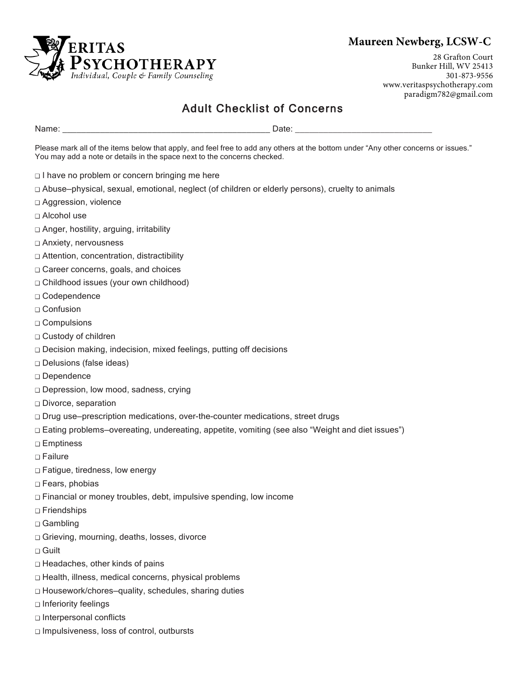

## **Maureen Newberg, LCSW-C**

28 Grafton Court Bunker Hill, WV 25413 301-873-9556 www.veritaspsychotherapy.com paradigm782@gmail.com

## Adult Checklist of Concerns

Name: \_\_\_\_\_\_\_\_\_\_\_\_\_\_\_\_\_\_\_\_\_\_\_\_\_\_\_\_\_\_\_\_\_\_\_\_\_\_\_\_\_\_\_\_ Date: \_\_\_\_\_\_\_\_\_\_\_\_\_\_\_\_\_\_\_\_\_\_\_\_\_\_\_\_\_

Please mark all of the items below that apply, and feel free to add any others at the bottom under "Any other concerns or issues." You may add a note or details in the space next to the concerns checked.

- ❑ I have no problem or concern bringing me here
- ❑ Abuse—physical, sexual, emotional, neglect (of children or elderly persons), cruelty to animals
- □ Aggression, violence
- ❑ Alcohol use
- □ Anger, hostility, arguing, irritability
- ❑ Anxiety, nervousness
- ❑ Attention, concentration, distractibility
- ❑ Career concerns, goals, and choices
- ❑ Childhood issues (your own childhood)
- ❑ Codependence
- ❑ Confusion
- ❑ Compulsions
- ❑ Custody of children
- ❑ Decision making, indecision, mixed feelings, putting off decisions
- ❑ Delusions (false ideas)
- ❑ Dependence
- ❑ Depression, low mood, sadness, crying
- ❑ Divorce, separation
- ❑ Drug use—prescription medications, over-the-counter medications, street drugs
- ❑ Eating problems—overeating, undereating, appetite, vomiting (see also "Weight and diet issues")
- ❑ Emptiness
- ❑ Failure
- ❑ Fatigue, tiredness, low energy
- ❑ Fears, phobias
- ❑ Financial or money troubles, debt, impulsive spending, low income
- ❑ Friendships
- ❑ Gambling
- ❑ Grieving, mourning, deaths, losses, divorce
- ❑ Guilt
- ❑ Headaches, other kinds of pains
- ❑ Health, illness, medical concerns, physical problems
- ❑ Housework/chores—quality, schedules, sharing duties
- ❑ Inferiority feelings
- ❑ Interpersonal conflicts
- ❑ Impulsiveness, loss of control, outbursts